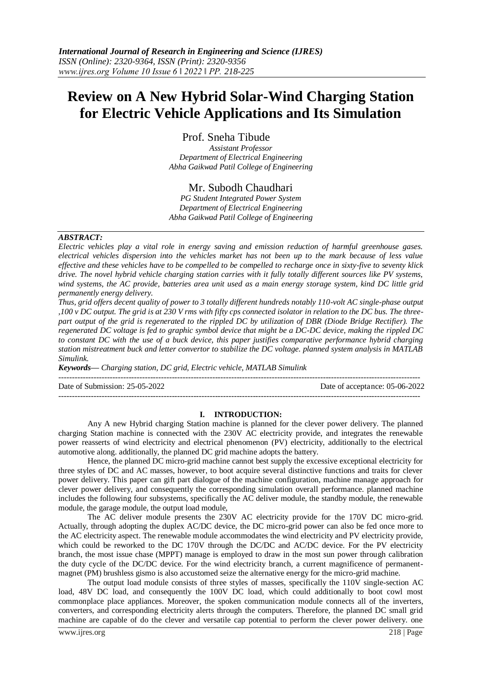# **Review on A New Hybrid Solar-Wind Charging Station for Electric Vehicle Applications and Its Simulation**

Prof. Sneha Tibude

*Assistant Professor Department of Electrical Engineering Abha Gaikwad Patil College of Engineering*

# Mr. Subodh Chaudhari

*PG Student Integrated Power System Department of Electrical Engineering Abha Gaikwad Patil College of Engineering*

#### *ABSTRACT:*

*Electric vehicles play a vital role in energy saving and emission reduction of harmful greenhouse gases. electrical vehicles dispersion into the vehicles market has not been up to the mark because of less value effective and these vehicles have to be compelled to be compelled to recharge once in sixty-five to seventy klick drive. The novel hybrid vehicle charging station carries with it fully totally different sources like PV systems, wind systems, the AC provide, batteries area unit used as a main energy storage system, kind DC little grid permanently energy delivery.* 

*Thus, grid offers decent quality of power to 3 totally different hundreds notably 110-volt AC single-phase output ,100 v DC output. The grid is at 230 V rms with fifty cps connected isolator in relation to the DC bus. The threepart output of the grid is regenerated to the rippled DC by utilization of DBR (Diode Bridge Rectifier). The regenerated DC voltage is fed to graphic symbol device that might be a DC-DC device, making the rippled DC to constant DC with the use of a buck device, this paper justifies comparative performance hybrid charging station mistreatment buck and letter convertor to stabilize the DC voltage. planned system analysis in MATLAB Simulink.*

*Keywords— Charging station, DC grid, Electric vehicle, MATLAB Simulink*

--------------------------------------------------------------------------------------------------------------------------------------

Date of Submission: 25-05-2022 Date of acceptance: 05-06-2022

# **I. INTRODUCTION:**

--------------------------------------------------------------------------------------------------------------------------------------

Any A new Hybrid charging Station machine is planned for the clever power delivery. The planned charging Station machine is connected with the 230V AC electricity provide, and integrates the renewable power reasserts of wind electricity and electrical phenomenon (PV) electricity, additionally to the electrical automotive along. additionally, the planned DC grid machine adopts the battery.

Hence, the planned DC micro-grid machine cannot best supply the excessive exceptional electricity for three styles of DC and AC masses, however, to boot acquire several distinctive functions and traits for clever power delivery. This paper can gift part dialogue of the machine configuration, machine manage approach for clever power delivery, and consequently the corresponding simulation overall performance. planned machine includes the following four subsystems, specifically the AC deliver module, the standby module, the renewable module, the garage module, the output load module,

The AC deliver module presents the 230V AC electricity provide for the 170V DC micro-grid. Actually, through adopting the duplex AC/DC device, the DC micro-grid power can also be fed once more to the AC electricity aspect. The renewable module accommodates the wind electricity and PV electricity provide, which could be reworked to the DC 170V through the DC/DC and AC/DC device. For the PV electricity branch, the most issue chase (MPPT) manage is employed to draw in the most sun power through calibration the duty cycle of the DC/DC device. For the wind electricity branch, a current magnificence of permanentmagnet (PM) brushless gismo is also accustomed seize the alternative energy for the micro-grid machine.

The output load module consists of three styles of masses, specifically the 110V single-section AC load, 48V DC load, and consequently the 100V DC load, which could additionally to boot cowl most commonplace place appliances. Moreover, the spoken communication module connects all of the inverters, converters, and corresponding electricity alerts through the computers. Therefore, the planned DC small grid machine are capable of do the clever and versatile cap potential to perform the clever power delivery. one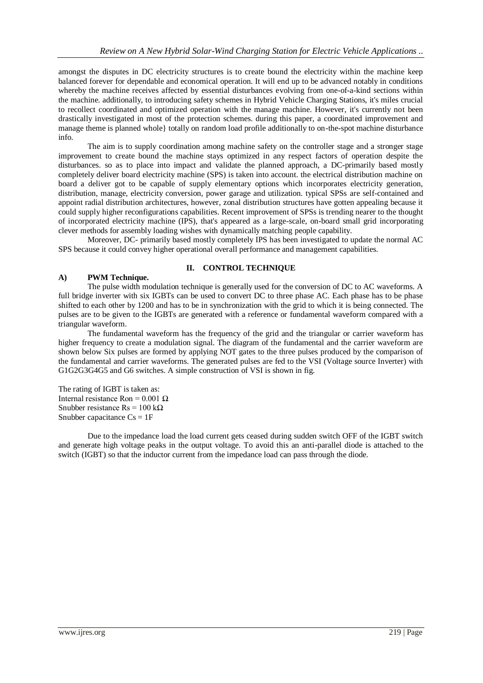amongst the disputes in DC electricity structures is to create bound the electricity within the machine keep balanced forever for dependable and economical operation. It will end up to be advanced notably in conditions whereby the machine receives affected by essential disturbances evolving from one-of-a-kind sections within the machine. additionally, to introducing safety schemes in Hybrid Vehicle Charging Stations, it's miles crucial to recollect coordinated and optimized operation with the manage machine. However, it's currently not been drastically investigated in most of the protection schemes. during this paper, a coordinated improvement and manage theme is planned whole} totally on random load profile additionally to on-the-spot machine disturbance info.

The aim is to supply coordination among machine safety on the controller stage and a stronger stage improvement to create bound the machine stays optimized in any respect factors of operation despite the disturbances. so as to place into impact and validate the planned approach, a DC-primarily based mostly completely deliver board electricity machine (SPS) is taken into account. the electrical distribution machine on board a deliver got to be capable of supply elementary options which incorporates electricity generation, distribution, manage, electricity conversion, power garage and utilization. typical SPSs are self-contained and appoint radial distribution architectures, however, zonal distribution structures have gotten appealing because it could supply higher reconfigurations capabilities. Recent improvement of SPSs is trending nearer to the thought of incorporated electricity machine (IPS), that's appeared as a large-scale, on-board small grid incorporating clever methods for assembly loading wishes with dynamically matching people capability.

Moreover, DC- primarily based mostly completely IPS has been investigated to update the normal AC SPS because it could convey higher operational overall performance and management capabilities.

## **A) PWM Technique.**

## **II. CONTROL TECHNIQUE**

The pulse width modulation technique is generally used for the conversion of DC to AC waveforms. A full bridge inverter with six IGBTs can be used to convert DC to three phase AC. Each phase has to be phase shifted to each other by 1200 and has to be in synchronization with the grid to which it is being connected. The pulses are to be given to the IGBTs are generated with a reference or fundamental waveform compared with a triangular waveform.

The fundamental waveform has the frequency of the grid and the triangular or carrier waveform has higher frequency to create a modulation signal. The diagram of the fundamental and the carrier waveform are shown below Six pulses are formed by applying NOT gates to the three pulses produced by the comparison of the fundamental and carrier waveforms. The generated pulses are fed to the VSI (Voltage source Inverter) with G1G2G3G4G5 and G6 switches. A simple construction of VSI is shown in fig.

The rating of IGBT is taken as: Internal resistance Ron = 0.001 Ω Snubber resistance Rs = 100 kΩ Snubber capacitance  $Cs = 1F$ 

Due to the impedance load the load current gets ceased during sudden switch OFF of the IGBT switch and generate high voltage peaks in the output voltage. To avoid this an anti-parallel diode is attached to the switch (IGBT) so that the inductor current from the impedance load can pass through the diode.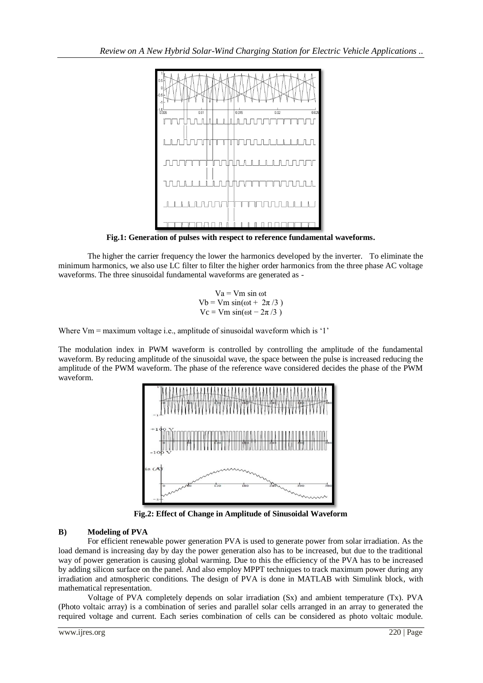

**Fig.1: Generation of pulses with respect to reference fundamental waveforms.**

The higher the carrier frequency the lower the harmonics developed by the inverter. To eliminate the minimum harmonics, we also use LC filter to filter the higher order harmonics from the three phase AC voltage waveforms. The three sinusoidal fundamental waveforms are generated as -

> $Va = Vm \sin \omega t$ Vb = Vm  $sin(\omega t + 2\pi/3)$  $Vc = Vm \sin(\omega t - 2\pi/3)$

Where Vm = maximum voltage i.e., amplitude of sinusoidal waveform which is '1'

The modulation index in PWM waveform is controlled by controlling the amplitude of the fundamental waveform. By reducing amplitude of the sinusoidal wave, the space between the pulse is increased reducing the amplitude of the PWM waveform. The phase of the reference wave considered decides the phase of the PWM waveform.



**Fig.2: Effect of Change in Amplitude of Sinusoidal Waveform**

# **B) Modeling of PVA**

For efficient renewable power generation PVA is used to generate power from solar irradiation. As the load demand is increasing day by day the power generation also has to be increased, but due to the traditional way of power generation is causing global warming. Due to this the efficiency of the PVA has to be increased by adding silicon surface on the panel. And also employ MPPT techniques to track maximum power during any irradiation and atmospheric conditions. The design of PVA is done in MATLAB with Simulink block, with mathematical representation.

Voltage of PVA completely depends on solar irradiation (Sx) and ambient temperature (Tx). PVA (Photo voltaic array) is a combination of series and parallel solar cells arranged in an array to generated the required voltage and current. Each series combination of cells can be considered as photo voltaic module.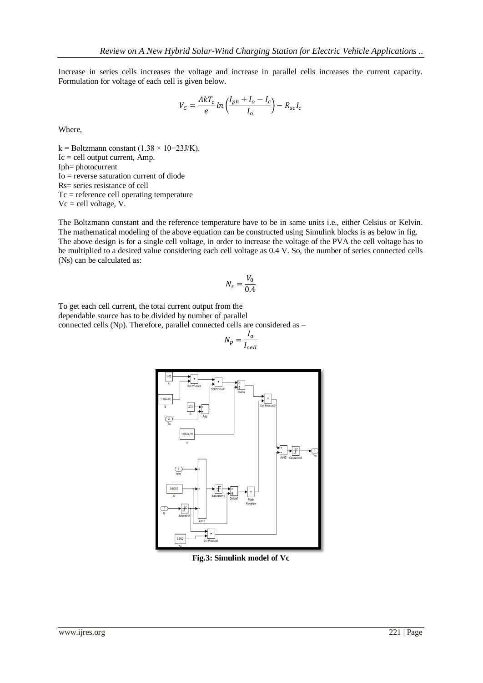Increase in series cells increases the voltage and increase in parallel cells increases the current capacity. Formulation for voltage of each cell is given below.

$$
V_C = \frac{AkT_c}{e} \ln\left(\frac{I_{ph} + I_o - I_c}{I_o}\right) - R_{sc}I_c
$$

Where,

k = Boltzmann constant (1.38 × 10−23J/K).  $Ic =$  cell output current, Amp. Iph= photocurrent Io = reverse saturation current of diode Rs= series resistance of cell Tc = reference cell operating temperature  $Vc =$  cell voltage, V.

The Boltzmann constant and the reference temperature have to be in same units i.e., either Celsius or Kelvin. The mathematical modeling of the above equation can be constructed using Simulink blocks is as below in fig. The above design is for a single cell voltage, in order to increase the voltage of the PVA the cell voltage has to be multiplied to a desired value considering each cell voltage as 0.4 V. So, the number of series connected cells (Ns) can be calculated as:

$$
N_s = \frac{V_0}{0.4}
$$

To get each cell current, the total current output from the dependable source has to be divided by number of parallel connected cells (Np). Therefore, parallel connected cells are considered as –

$$
N_p = \frac{I_o}{I_{cell}}
$$



**Fig.3: Simulink model of Vc**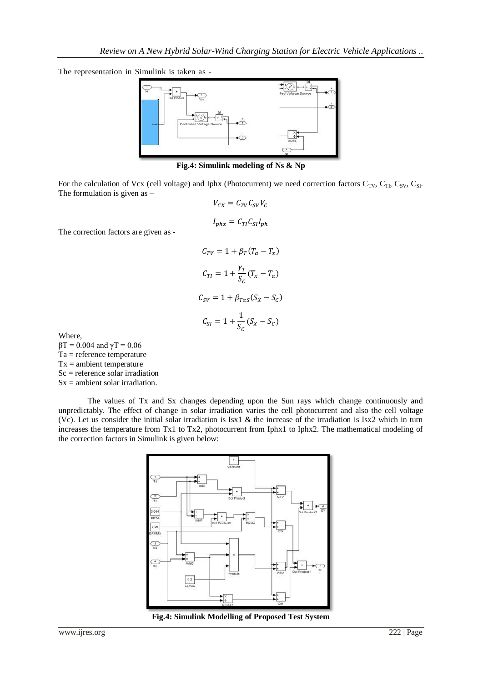The representation in Simulink is taken as -



**Fig.4: Simulink modeling of Ns & Np**

For the calculation of Vcx (cell voltage) and Iphx (Photocurrent) we need correction factors  $C_{TV}$ ,  $C_{T}$ ,  $C_{SV}$ ,  $C_{SL}$ . The formulation is given as –

$$
V_{CX} = C_{TV}C_{SV}V_C
$$

$$
I_{phx} = C_{TI}C_{SI}I_{ph}
$$

$$
C_{TV} = 1 + \beta_T(T_a - T_x)
$$

$$
C_{TI} = 1 + \frac{\gamma_T}{S_C}(T_x - T_a)
$$

$$
C_{SV} = 1 + \beta_{T\alpha S}(S_x - S_C)
$$

$$
C_{SI} = 1 + \frac{1}{S_C}(S_x - S_C)
$$

Where,  $βT = 0.004$  and γT = 0.06 Ta = reference temperature  $Tx =$  ambient temperature Sc = reference solar irradiation  $Sx =$  ambient solar irradiation.

The correction factors are given as -

The values of Tx and Sx changes depending upon the Sun rays which change continuously and unpredictably. The effect of change in solar irradiation varies the cell photocurrent and also the cell voltage (Vc). Let us consider the initial solar irradiation is Isx1 & the increase of the irradiation is Isx2 which in turn increases the temperature from Tx1 to Tx2, photocurrent from Iphx1 to Iphx2. The mathematical modeling of the correction factors in Simulink is given below:



**Fig.4: Simulink Modelling of Proposed Test System**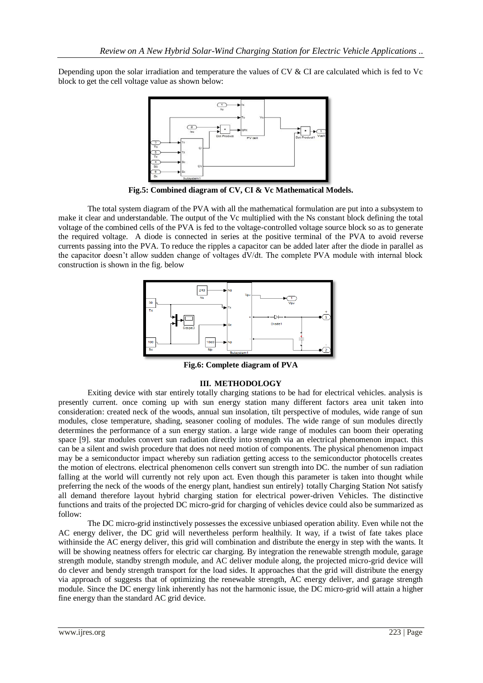Depending upon the solar irradiation and temperature the values of CV & CI are calculated which is fed to Vc block to get the cell voltage value as shown below:



**Fig.5: Combined diagram of CV, CI & Vc Mathematical Models.**

The total system diagram of the PVA with all the mathematical formulation are put into a subsystem to make it clear and understandable. The output of the Vc multiplied with the Ns constant block defining the total voltage of the combined cells of the PVA is fed to the voltage-controlled voltage source block so as to generate the required voltage. A diode is connected in series at the positive terminal of the PVA to avoid reverse currents passing into the PVA. To reduce the ripples a capacitor can be added later after the diode in parallel as the capacitor doesn't allow sudden change of voltages dV/dt. The complete PVA module with internal block construction is shown in the fig. below



**Fig.6: Complete diagram of PVA**

## **III. METHODOLOGY**

Exiting device with star entirely totally charging stations to be had for electrical vehicles. analysis is presently current. once coming up with sun energy station many different factors area unit taken into consideration: created neck of the woods, annual sun insolation, tilt perspective of modules, wide range of sun modules, close temperature, shading, seasoner cooling of modules. The wide range of sun modules directly determines the performance of a sun energy station. a large wide range of modules can boom their operating space [9]. star modules convert sun radiation directly into strength via an electrical phenomenon impact. this can be a silent and swish procedure that does not need motion of components. The physical phenomenon impact may be a semiconductor impact whereby sun radiation getting access to the semiconductor photocells creates the motion of electrons. electrical phenomenon cells convert sun strength into DC. the number of sun radiation falling at the world will currently not rely upon act. Even though this parameter is taken into thought while preferring the neck of the woods of the energy plant, handiest sun entirely} totally Charging Station Not satisfy all demand therefore layout hybrid charging station for electrical power-driven Vehicles. The distinctive functions and traits of the projected DC micro-grid for charging of vehicles device could also be summarized as follow:

The DC micro-grid instinctively possesses the excessive unbiased operation ability. Even while not the AC energy deliver, the DC grid will nevertheless perform healthily. It way, if a twist of fate takes place withinside the AC energy deliver, this grid will combination and distribute the energy in step with the wants. It will be showing neatness offers for electric car charging. By integration the renewable strength module, garage strength module, standby strength module, and AC deliver module along, the projected micro-grid device will do clever and bendy strength transport for the load sides. It approaches that the grid will distribute the energy via approach of suggests that of optimizing the renewable strength, AC energy deliver, and garage strength module. Since the DC energy link inherently has not the harmonic issue, the DC micro-grid will attain a higher fine energy than the standard AC grid device.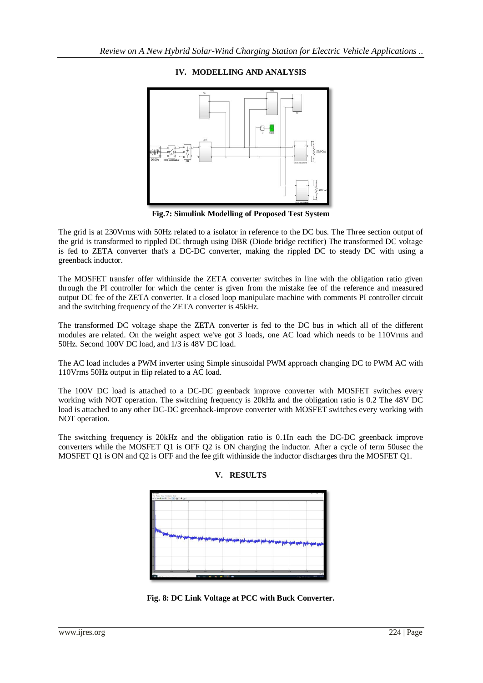## **IV. MODELLING AND ANALYSIS**



**Fig.7: Simulink Modelling of Proposed Test System**

The grid is at 230Vrms with 50Hz related to a isolator in reference to the DC bus. The Three section output of the grid is transformed to rippled DC through using DBR (Diode bridge rectifier) The transformed DC voltage is fed to ZETA converter that's a DC-DC converter, making the rippled DC to steady DC with using a greenback inductor.

The MOSFET transfer offer withinside the ZETA converter switches in line with the obligation ratio given through the PI controller for which the center is given from the mistake fee of the reference and measured output DC fee of the ZETA converter. It a closed loop manipulate machine with comments PI controller circuit and the switching frequency of the ZETA converter is 45kHz.

The transformed DC voltage shape the ZETA converter is fed to the DC bus in which all of the different modules are related. On the weight aspect we've got 3 loads, one AC load which needs to be 110Vrms and 50Hz. Second 100V DC load, and 1/3 is 48V DC load.

The AC load includes a PWM inverter using Simple sinusoidal PWM approach changing DC to PWM AC with 110Vrms 50Hz output in flip related to a AC load.

The 100V DC load is attached to a DC-DC greenback improve converter with MOSFET switches every working with NOT operation. The switching frequency is 20kHz and the obligation ratio is 0.2 The 48V DC load is attached to any other DC-DC greenback-improve converter with MOSFET switches every working with NOT operation.

The switching frequency is 20kHz and the obligation ratio is 0.1In each the DC-DC greenback improve converters while the MOSFET Q1 is OFF Q2 is ON charging the inductor. After a cycle of term 50usec the MOSFET Q1 is ON and Q2 is OFF and the fee gift withinside the inductor discharges thru the MOSFET Q1.



### **V. RESULTS**

**Fig. 8: DC Link Voltage at PCC with Buck Converter.**